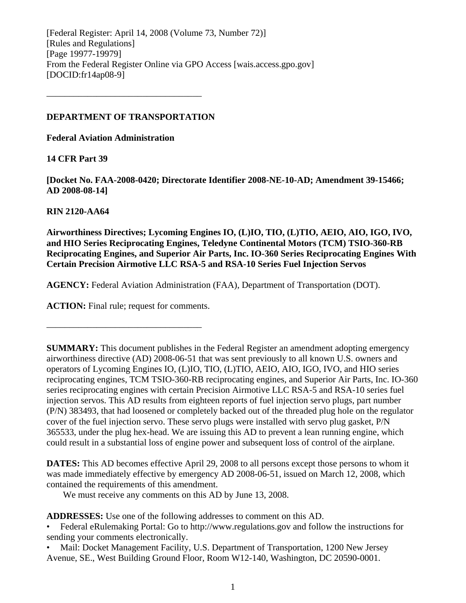[Federal Register: April 14, 2008 (Volume 73, Number 72)] [Rules and Regulations] [Page 19977-19979] From the Federal Register Online via GPO Access [wais.access.gpo.gov] [DOCID:fr14ap08-9]

## **DEPARTMENT OF TRANSPORTATION**

––––––––––––––––––––––––––––––––––

**Federal Aviation Administration** 

**14 CFR Part 39** 

**[Docket No. FAA-2008-0420; Directorate Identifier 2008-NE-10-AD; Amendment 39-15466; AD 2008-08-14]** 

## **RIN 2120-AA64**

**Airworthiness Directives; Lycoming Engines IO, (L)IO, TIO, (L)TIO, AEIO, AIO, IGO, IVO, and HIO Series Reciprocating Engines, Teledyne Continental Motors (TCM) TSIO-360-RB Reciprocating Engines, and Superior Air Parts, Inc. IO-360 Series Reciprocating Engines With Certain Precision Airmotive LLC RSA-5 and RSA-10 Series Fuel Injection Servos** 

**AGENCY:** Federal Aviation Administration (FAA), Department of Transportation (DOT).

**ACTION:** Final rule; request for comments.

––––––––––––––––––––––––––––––––––

**SUMMARY:** This document publishes in the Federal Register an amendment adopting emergency airworthiness directive (AD) 2008-06-51 that was sent previously to all known U.S. owners and operators of Lycoming Engines IO, (L)IO, TIO, (L)TIO, AEIO, AIO, IGO, IVO, and HIO series reciprocating engines, TCM TSIO-360-RB reciprocating engines, and Superior Air Parts, Inc. IO-360 series reciprocating engines with certain Precision Airmotive LLC RSA-5 and RSA-10 series fuel injection servos. This AD results from eighteen reports of fuel injection servo plugs, part number (P/N) 383493, that had loosened or completely backed out of the threaded plug hole on the regulator cover of the fuel injection servo. These servo plugs were installed with servo plug gasket, P/N 365533, under the plug hex-head. We are issuing this AD to prevent a lean running engine, which could result in a substantial loss of engine power and subsequent loss of control of the airplane.

**DATES:** This AD becomes effective April 29, 2008 to all persons except those persons to whom it was made immediately effective by emergency AD 2008-06-51, issued on March 12, 2008, which contained the requirements of this amendment.

We must receive any comments on this AD by June 13, 2008.

**ADDRESSES:** Use one of the following addresses to comment on this AD.

• Federal eRulemaking Portal: Go to http://www.regulations.gov and follow the instructions for sending your comments electronically.

• Mail: Docket Management Facility, U.S. Department of Transportation, 1200 New Jersey Avenue, SE., West Building Ground Floor, Room W12-140, Washington, DC 20590-0001.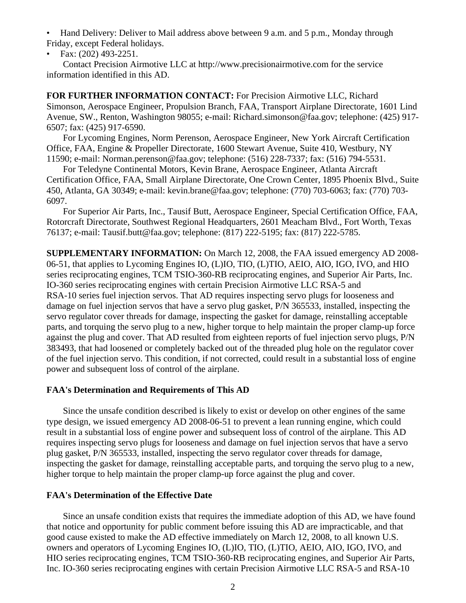• Hand Delivery: Deliver to Mail address above between 9 a.m. and 5 p.m., Monday through Friday, except Federal holidays.

• Fax: (202) 493-2251.

 Contact Precision Airmotive LLC at http://www.precisionairmotive.com for the service information identified in this AD.

**FOR FURTHER INFORMATION CONTACT:** For Precision Airmotive LLC, Richard Simonson, Aerospace Engineer, Propulsion Branch, FAA, Transport Airplane Directorate, 1601 Lind Avenue, SW., Renton, Washington 98055; e-mail: Richard.simonson@faa.gov; telephone: (425) 917- 6507; fax: (425) 917-6590.

 For Lycoming Engines, Norm Perenson, Aerospace Engineer, New York Aircraft Certification Office, FAA, Engine & Propeller Directorate, 1600 Stewart Avenue, Suite 410, Westbury, NY 11590; e-mail: Norman.perenson@faa.gov; telephone: (516) 228-7337; fax: (516) 794-5531.

 For Teledyne Continental Motors, Kevin Brane, Aerospace Engineer, Atlanta Aircraft Certification Office, FAA, Small Airplane Directorate, One Crown Center, 1895 Phoenix Blvd., Suite 450, Atlanta, GA 30349; e-mail: kevin.brane@faa.gov; telephone: (770) 703-6063; fax: (770) 703- 6097.

 For Superior Air Parts, Inc., Tausif Butt, Aerospace Engineer, Special Certification Office, FAA, Rotorcraft Directorate, Southwest Regional Headquarters, 2601 Meacham Blvd., Fort Worth, Texas 76137; e-mail: Tausif.butt@faa.gov; telephone: (817) 222-5195; fax: (817) 222-5785.

**SUPPLEMENTARY INFORMATION:** On March 12, 2008, the FAA issued emergency AD 2008- 06-51, that applies to Lycoming Engines IO, (L)IO, TIO, (L)TIO, AEIO, AIO, IGO, IVO, and HIO series reciprocating engines, TCM TSIO-360-RB reciprocating engines, and Superior Air Parts, Inc. IO-360 series reciprocating engines with certain Precision Airmotive LLC RSA-5 and RSA-10 series fuel injection servos. That AD requires inspecting servo plugs for looseness and damage on fuel injection servos that have a servo plug gasket, P/N 365533, installed, inspecting the servo regulator cover threads for damage, inspecting the gasket for damage, reinstalling acceptable parts, and torquing the servo plug to a new, higher torque to help maintain the proper clamp-up force against the plug and cover. That AD resulted from eighteen reports of fuel injection servo plugs, P/N 383493, that had loosened or completely backed out of the threaded plug hole on the regulator cover of the fuel injection servo. This condition, if not corrected, could result in a substantial loss of engine power and subsequent loss of control of the airplane.

### **FAA's Determination and Requirements of This AD**

 Since the unsafe condition described is likely to exist or develop on other engines of the same type design, we issued emergency AD 2008-06-51 to prevent a lean running engine, which could result in a substantial loss of engine power and subsequent loss of control of the airplane. This AD requires inspecting servo plugs for looseness and damage on fuel injection servos that have a servo plug gasket, P/N 365533, installed, inspecting the servo regulator cover threads for damage, inspecting the gasket for damage, reinstalling acceptable parts, and torquing the servo plug to a new, higher torque to help maintain the proper clamp-up force against the plug and cover.

## **FAA's Determination of the Effective Date**

 Since an unsafe condition exists that requires the immediate adoption of this AD, we have found that notice and opportunity for public comment before issuing this AD are impracticable, and that good cause existed to make the AD effective immediately on March 12, 2008, to all known U.S. owners and operators of Lycoming Engines IO, (L)IO, TIO, (L)TIO, AEIO, AIO, IGO, IVO, and HIO series reciprocating engines, TCM TSIO-360-RB reciprocating engines, and Superior Air Parts, Inc. IO-360 series reciprocating engines with certain Precision Airmotive LLC RSA-5 and RSA-10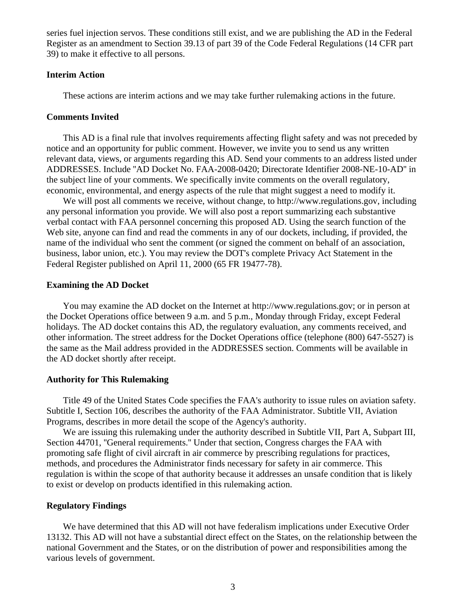series fuel injection servos. These conditions still exist, and we are publishing the AD in the Federal Register as an amendment to Section 39.13 of part 39 of the Code Federal Regulations (14 CFR part 39) to make it effective to all persons.

### **Interim Action**

These actions are interim actions and we may take further rulemaking actions in the future.

#### **Comments Invited**

 This AD is a final rule that involves requirements affecting flight safety and was not preceded by notice and an opportunity for public comment. However, we invite you to send us any written relevant data, views, or arguments regarding this AD. Send your comments to an address listed under ADDRESSES. Include ''AD Docket No. FAA-2008-0420; Directorate Identifier 2008-NE-10-AD'' in the subject line of your comments. We specifically invite comments on the overall regulatory, economic, environmental, and energy aspects of the rule that might suggest a need to modify it.

 We will post all comments we receive, without change, to http://www.regulations.gov, including any personal information you provide. We will also post a report summarizing each substantive verbal contact with FAA personnel concerning this proposed AD. Using the search function of the Web site, anyone can find and read the comments in any of our dockets, including, if provided, the name of the individual who sent the comment (or signed the comment on behalf of an association, business, labor union, etc.). You may review the DOT's complete Privacy Act Statement in the Federal Register published on April 11, 2000 (65 FR 19477-78).

### **Examining the AD Docket**

 You may examine the AD docket on the Internet at http://www.regulations.gov; or in person at the Docket Operations office between 9 a.m. and 5 p.m., Monday through Friday, except Federal holidays. The AD docket contains this AD, the regulatory evaluation, any comments received, and other information. The street address for the Docket Operations office (telephone (800) 647-5527) is the same as the Mail address provided in the ADDRESSES section. Comments will be available in the AD docket shortly after receipt.

### **Authority for This Rulemaking**

 Title 49 of the United States Code specifies the FAA's authority to issue rules on aviation safety. Subtitle I, Section 106, describes the authority of the FAA Administrator. Subtitle VII, Aviation Programs, describes in more detail the scope of the Agency's authority.

We are issuing this rulemaking under the authority described in Subtitle VII, Part A, Subpart III, Section 44701, ''General requirements.'' Under that section, Congress charges the FAA with promoting safe flight of civil aircraft in air commerce by prescribing regulations for practices, methods, and procedures the Administrator finds necessary for safety in air commerce. This regulation is within the scope of that authority because it addresses an unsafe condition that is likely to exist or develop on products identified in this rulemaking action.

### **Regulatory Findings**

 We have determined that this AD will not have federalism implications under Executive Order 13132. This AD will not have a substantial direct effect on the States, on the relationship between the national Government and the States, or on the distribution of power and responsibilities among the various levels of government.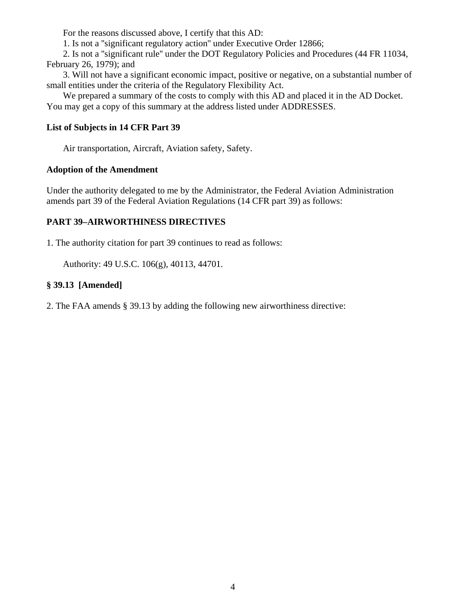For the reasons discussed above, I certify that this AD:

1. Is not a ''significant regulatory action'' under Executive Order 12866;

 2. Is not a ''significant rule'' under the DOT Regulatory Policies and Procedures (44 FR 11034, February 26, 1979); and

 3. Will not have a significant economic impact, positive or negative, on a substantial number of small entities under the criteria of the Regulatory Flexibility Act.

 We prepared a summary of the costs to comply with this AD and placed it in the AD Docket. You may get a copy of this summary at the address listed under ADDRESSES.

# **List of Subjects in 14 CFR Part 39**

Air transportation, Aircraft, Aviation safety, Safety.

## **Adoption of the Amendment**

Under the authority delegated to me by the Administrator, the Federal Aviation Administration amends part 39 of the Federal Aviation Regulations (14 CFR part 39) as follows:

# **PART 39–AIRWORTHINESS DIRECTIVES**

1. The authority citation for part 39 continues to read as follows:

Authority: 49 U.S.C. 106(g), 40113, 44701.

# **§ 39.13 [Amended]**

2. The FAA amends § 39.13 by adding the following new airworthiness directive: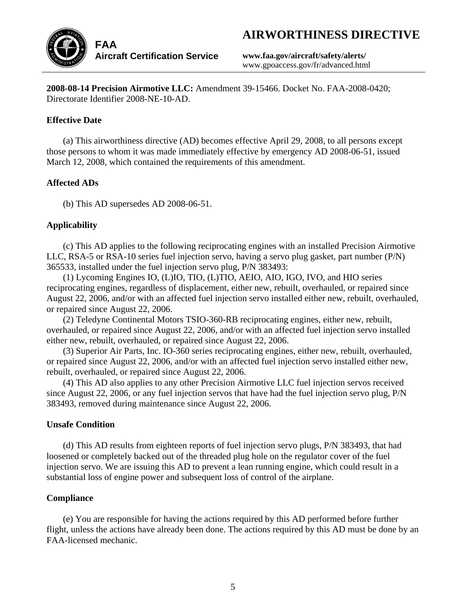# **AIRWORTHINESS DIRECTIVE**



**www.faa.gov/aircraft/safety/alerts/**  www.gpoaccess.gov/fr/advanced.html

**2008-08-14 Precision Airmotive LLC:** Amendment 39-15466. Docket No. FAA-2008-0420; Directorate Identifier 2008-NE-10-AD.

# **Effective Date**

 (a) This airworthiness directive (AD) becomes effective April 29, 2008, to all persons except those persons to whom it was made immediately effective by emergency AD 2008-06-51, issued March 12, 2008, which contained the requirements of this amendment.

# **Affected ADs**

(b) This AD supersedes AD 2008-06-51.

# **Applicability**

 (c) This AD applies to the following reciprocating engines with an installed Precision Airmotive LLC, RSA-5 or RSA-10 series fuel injection servo, having a servo plug gasket, part number (P/N) 365533, installed under the fuel injection servo plug, P/N 383493:

 (1) Lycoming Engines IO, (L)IO, TIO, (L)TIO, AEIO, AIO, IGO, IVO, and HIO series reciprocating engines, regardless of displacement, either new, rebuilt, overhauled, or repaired since August 22, 2006, and/or with an affected fuel injection servo installed either new, rebuilt, overhauled, or repaired since August 22, 2006.

 (2) Teledyne Continental Motors TSIO-360-RB reciprocating engines, either new, rebuilt, overhauled, or repaired since August 22, 2006, and/or with an affected fuel injection servo installed either new, rebuilt, overhauled, or repaired since August 22, 2006.

 (3) Superior Air Parts, Inc. IO-360 series reciprocating engines, either new, rebuilt, overhauled, or repaired since August 22, 2006, and/or with an affected fuel injection servo installed either new, rebuilt, overhauled, or repaired since August 22, 2006.

 (4) This AD also applies to any other Precision Airmotive LLC fuel injection servos received since August 22, 2006, or any fuel injection servos that have had the fuel injection servo plug, P/N 383493, removed during maintenance since August 22, 2006.

## **Unsafe Condition**

 (d) This AD results from eighteen reports of fuel injection servo plugs, P/N 383493, that had loosened or completely backed out of the threaded plug hole on the regulator cover of the fuel injection servo. We are issuing this AD to prevent a lean running engine, which could result in a substantial loss of engine power and subsequent loss of control of the airplane.

# **Compliance**

 (e) You are responsible for having the actions required by this AD performed before further flight, unless the actions have already been done. The actions required by this AD must be done by an FAA-licensed mechanic.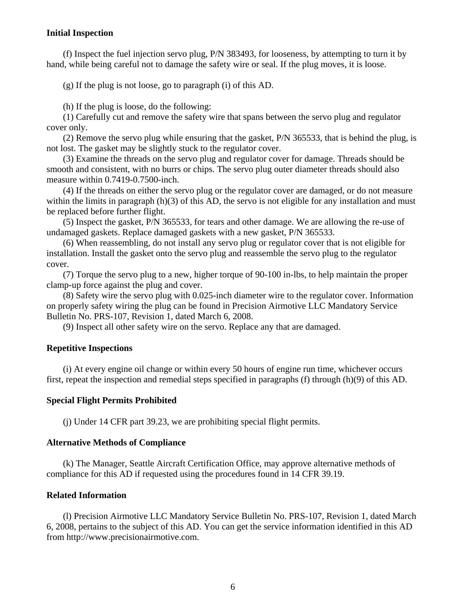## **Initial Inspection**

 (f) Inspect the fuel injection servo plug, P/N 383493, for looseness, by attempting to turn it by hand, while being careful not to damage the safety wire or seal. If the plug moves, it is loose.

(g) If the plug is not loose, go to paragraph (i) of this AD.

(h) If the plug is loose, do the following:

 (1) Carefully cut and remove the safety wire that spans between the servo plug and regulator cover only.

 (2) Remove the servo plug while ensuring that the gasket, P/N 365533, that is behind the plug, is not lost. The gasket may be slightly stuck to the regulator cover.

 (3) Examine the threads on the servo plug and regulator cover for damage. Threads should be smooth and consistent, with no burrs or chips. The servo plug outer diameter threads should also measure within 0.7419-0.7500-inch.

 (4) If the threads on either the servo plug or the regulator cover are damaged, or do not measure within the limits in paragraph (h)(3) of this AD, the servo is not eligible for any installation and must be replaced before further flight.

 (5) Inspect the gasket, P/N 365533, for tears and other damage. We are allowing the re-use of undamaged gaskets. Replace damaged gaskets with a new gasket, P/N 365533.

 (6) When reassembling, do not install any servo plug or regulator cover that is not eligible for installation. Install the gasket onto the servo plug and reassemble the servo plug to the regulator cover.

 (7) Torque the servo plug to a new, higher torque of 90-100 in-lbs, to help maintain the proper clamp-up force against the plug and cover.

 (8) Safety wire the servo plug with 0.025-inch diameter wire to the regulator cover. Information on properly safety wiring the plug can be found in Precision Airmotive LLC Mandatory Service Bulletin No. PRS-107, Revision 1, dated March 6, 2008.

(9) Inspect all other safety wire on the servo. Replace any that are damaged.

## **Repetitive Inspections**

 (i) At every engine oil change or within every 50 hours of engine run time, whichever occurs first, repeat the inspection and remedial steps specified in paragraphs (f) through (h)(9) of this AD.

### **Special Flight Permits Prohibited**

(j) Under 14 CFR part 39.23, we are prohibiting special flight permits.

### **Alternative Methods of Compliance**

 (k) The Manager, Seattle Aircraft Certification Office, may approve alternative methods of compliance for this AD if requested using the procedures found in 14 CFR 39.19.

## **Related Information**

 (l) Precision Airmotive LLC Mandatory Service Bulletin No. PRS-107, Revision 1, dated March 6, 2008, pertains to the subject of this AD. You can get the service information identified in this AD from http://www.precisionairmotive.com.